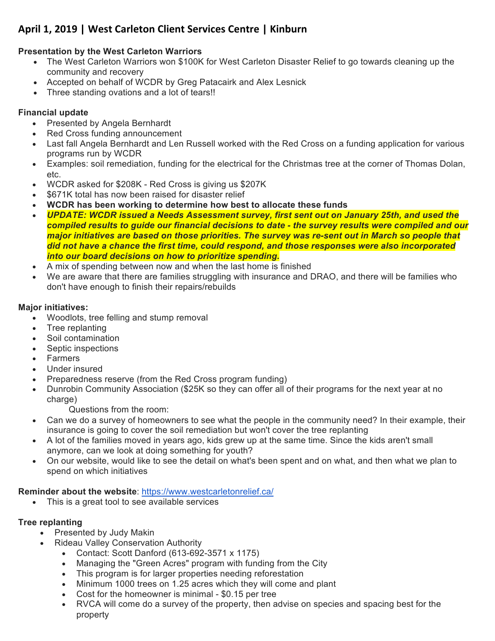# April 1, 2019 | West Carleton Client Services Centre | Kinburn

### **Presentation by the West Carleton Warriors**

- The West Carleton Warriors won \$100K for West Carleton Disaster Relief to go towards cleaning up the community and recovery
- Accepted on behalf of WCDR by Greg Patacairk and Alex Lesnick
- Three standing ovations and a lot of tears!!

## **Financial update**

- Presented by Angela Bernhardt
- Red Cross funding announcement
- Last fall Angela Bernhardt and Len Russell worked with the Red Cross on a funding application for various programs run by WCDR
- Examples: soil remediation, funding for the electrical for the Christmas tree at the corner of Thomas Dolan, etc.
- WCDR asked for \$208K Red Cross is giving us \$207K
- \$671K total has now been raised for disaster relief
- **WCDR has been working to determine how best to allocate these funds**
- *UPDATE: WCDR issued a Needs Assessment survey, first sent out on January 25th, and used the compiled results to guide our financial decisions to date - the survey results were compiled and our major initiatives are based on those priorities. The survey was re-sent out in March so people that did not have a chance the first time, could respond, and those responses were also incorporated into our board decisions on how to prioritize spending.*
- A mix of spending between now and when the last home is finished
- We are aware that there are families struggling with insurance and DRAO, and there will be families who don't have enough to finish their repairs/rebuilds

### **Major initiatives:**

- Woodlots, tree felling and stump removal
- Tree replanting
- Soil contamination
- Septic inspections
- Farmers
- Under insured
- Preparedness reserve (from the Red Cross program funding)
- Dunrobin Community Association (\$25K so they can offer all of their programs for the next year at no charge)

Questions from the room:

- Can we do a survey of homeowners to see what the people in the community need? In their example, their insurance is going to cover the soil remediation but won't cover the tree replanting
- A lot of the families moved in years ago, kids grew up at the same time. Since the kids aren't small anymore, can we look at doing something for youth?
- On our website, would like to see the detail on what's been spent and on what, and then what we plan to spend on which initiatives

## **Reminder about the website**: https://www.westcarletonrelief.ca/

• This is a great tool to see available services

## **Tree replanting**

- Presented by Judy Makin
- Rideau Valley Conservation Authority
	- Contact: Scott Danford (613-692-3571 x 1175)
	- Managing the "Green Acres" program with funding from the City
	- This program is for larger properties needing reforestation
	- Minimum 1000 trees on 1.25 acres which they will come and plant
	- Cost for the homeowner is minimal \$0.15 per tree
	- RVCA will come do a survey of the property, then advise on species and spacing best for the property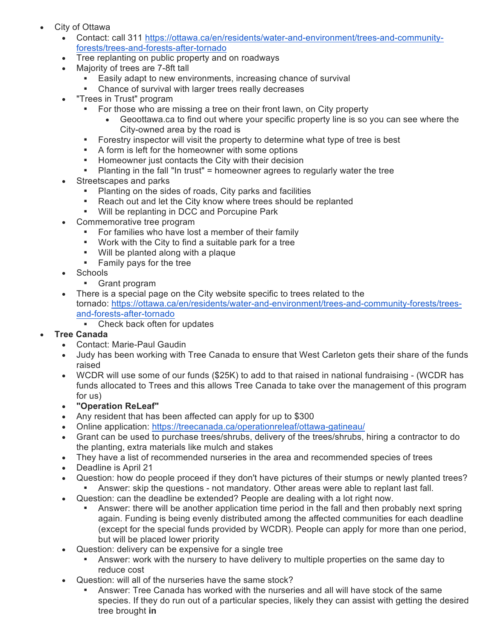- City of Ottawa
	- Contact: call 311 https://ottawa.ca/en/residents/water-and-environment/trees-and-communityforests/trees-and-forests-after-tornado
	- Tree replanting on public property and on roadways
	- Majority of trees are 7-8ft tall
		- **Easily adapt to new environments, increasing chance of survival**
		- Chance of survival with larger trees really decreases
	- "Trees in Trust" program
		- § For those who are missing a tree on their front lawn, on City property
			- Geoottawa.ca to find out where your specific property line is so you can see where the City-owned area by the road is
		- **•** Forestry inspector will visit the property to determine what type of tree is best
		- **•** A form is left for the homeowner with some options
		- **Homeowner just contacts the City with their decision**
		- § Planting in the fall "In trust" = homeowner agrees to regularly water the tree
	- Streetscapes and parks
		- Planting on the sides of roads, City parks and facilities
		- Reach out and let the City know where trees should be replanted
		- § Will be replanting in DCC and Porcupine Park
	- Commemorative tree program
		- For families who have lost a member of their family
		- § Work with the City to find a suitable park for a tree
		- § Will be planted along with a plaque
		- § Family pays for the tree
	- Schools
		- § Grant program
	- There is a special page on the City website specific to trees related to the tornado: https://ottawa.ca/en/residents/water-and-environment/trees-and-community-forests/treesand-forests-after-tornado
		- Check back often for updates
- **Tree Canada**
	- Contact: Marie-Paul Gaudin
	- Judy has been working with Tree Canada to ensure that West Carleton gets their share of the funds raised
	- WCDR will use some of our funds (\$25K) to add to that raised in national fundraising (WCDR has funds allocated to Trees and this allows Tree Canada to take over the management of this program for us)
	- **"Operation ReLeaf"**
	- Any resident that has been affected can apply for up to \$300
	- Online application: https://treecanada.ca/operationreleaf/ottawa-gatineau/
	- Grant can be used to purchase trees/shrubs, delivery of the trees/shrubs, hiring a contractor to do the planting, extra materials like mulch and stakes
	- They have a list of recommended nurseries in the area and recommended species of trees
	- Deadline is April 21
	- Question: how do people proceed if they don't have pictures of their stumps or newly planted trees?
		- Answer: skip the questions not mandatory. Other areas were able to replant last fall.
	- Question: can the deadline be extended? People are dealing with a lot right now.
		- § Answer: there will be another application time period in the fall and then probably next spring again. Funding is being evenly distributed among the affected communities for each deadline (except for the special funds provided by WCDR). People can apply for more than one period, but will be placed lower priority
	- Question: delivery can be expensive for a single tree
		- § Answer: work with the nursery to have delivery to multiple properties on the same day to reduce cost
	- Question: will all of the nurseries have the same stock?
		- § Answer: Tree Canada has worked with the nurseries and all will have stock of the same species. If they do run out of a particular species, likely they can assist with getting the desired tree brought **in**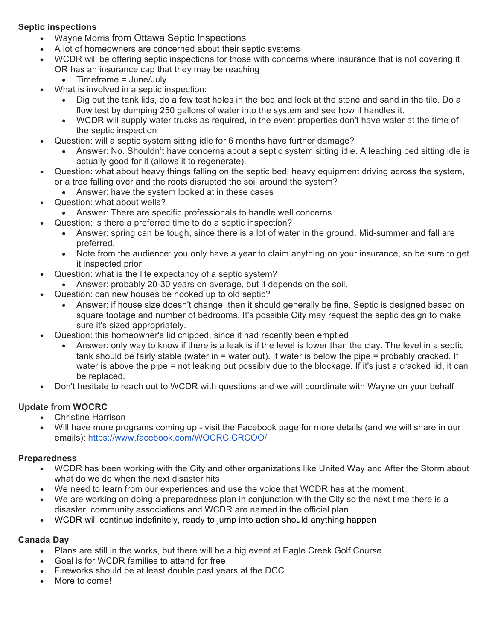#### **Septic inspections**

- Wayne Morris from Ottawa Septic Inspections
- A lot of homeowners are concerned about their septic systems
- WCDR will be offering septic inspections for those with concerns where insurance that is not covering it OR has an insurance cap that they may be reaching
	- Timeframe = June/July
- What is involved in a septic inspection:
	- Dig out the tank lids, do a few test holes in the bed and look at the stone and sand in the tile. Do a flow test by dumping 250 gallons of water into the system and see how it handles it.
	- WCDR will supply water trucks as required, in the event properties don't have water at the time of the septic inspection
- Question: will a septic system sitting idle for 6 months have further damage?
	- Answer: No. Shouldn't have concerns about a septic system sitting idle. A leaching bed sitting idle is actually good for it (allows it to regenerate).
- Question: what about heavy things falling on the septic bed, heavy equipment driving across the system, or a tree falling over and the roots disrupted the soil around the system?
	- Answer: have the system looked at in these cases
- Question: what about wells?
	- Answer: There are specific professionals to handle well concerns.
	- Question: is there a preferred time to do a septic inspection?
		- Answer: spring can be tough, since there is a lot of water in the ground. Mid-summer and fall are preferred.
		- Note from the audience: you only have a year to claim anything on your insurance, so be sure to get it inspected prior
- Question: what is the life expectancy of a septic system?
	- Answer: probably 20-30 years on average, but it depends on the soil.
- Question: can new houses be hooked up to old septic?
	- Answer: if house size doesn't change, then it should generally be fine. Septic is designed based on square footage and number of bedrooms. It's possible City may request the septic design to make sure it's sized appropriately.
- Question: this homeowner's lid chipped, since it had recently been emptied
	- Answer: only way to know if there is a leak is if the level is lower than the clay. The level in a septic tank should be fairly stable (water in = water out). If water is below the pipe = probably cracked. If water is above the pipe = not leaking out possibly due to the blockage. If it's just a cracked lid, it can be replaced.
- Don't hesitate to reach out to WCDR with questions and we will coordinate with Wayne on your behalf

### **Update from WOCRC**

- Christine Harrison
- Will have more programs coming up visit the Facebook page for more details (and we will share in our emails): https://www.facebook.com/WOCRC.CRCOO/

#### **Preparedness**

- WCDR has been working with the City and other organizations like United Way and After the Storm about what do we do when the next disaster hits
- We need to learn from our experiences and use the voice that WCDR has at the moment
- We are working on doing a preparedness plan in conjunction with the City so the next time there is a disaster, community associations and WCDR are named in the official plan
- WCDR will continue indefinitely, ready to jump into action should anything happen

#### **Canada Day**

- Plans are still in the works, but there will be a big event at Eagle Creek Golf Course
- Goal is for WCDR families to attend for free
- Fireworks should be at least double past years at the DCC
- More to come!